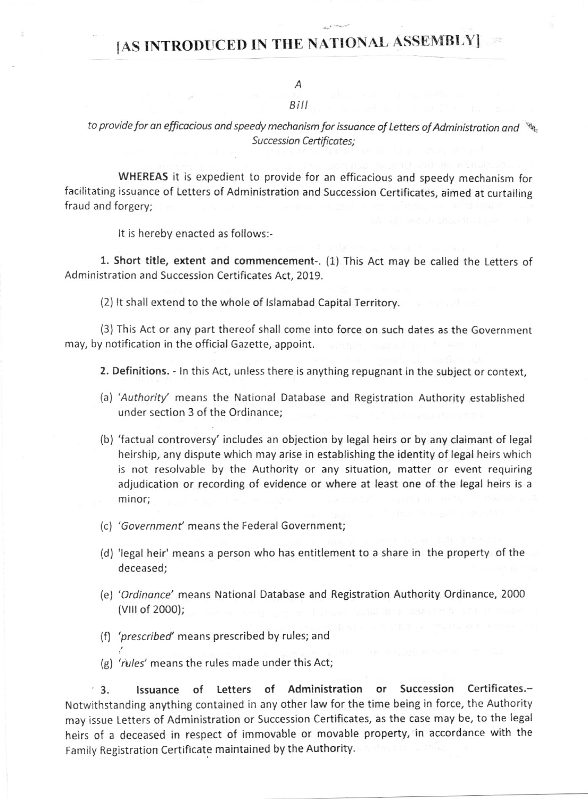## IAS INTRODUCED IN THE NATIONAL ASSEMBLY

A

## $B<sub>i</sub>II$

to provide for an efficacious and speedy mechanism for issuance of Letters of Administration and  $\cdot$ Succession Certificates:

WHEREAS it is expedient to provide for an efficacious and speedy mechanism for facilitating issuance of Letters of Administration and Succession Certificates, aimed at curtailing fraud and forgery;

It is hereby enacted as follows:-

1. Short title, extent and commencement-. (1) This Act may be called the Letters of Administration and Succession Certificates Act, 2019.

(2) lt shall extend to the whole of lslamabad Capital Territory

(3) This Act or any part thereof shall come into force on such dales as the Government may, by notification in the official Gazette, appoint.

2. Definitions. - ln this Act, unless there is anything repugnant in the subject or context,

- lal'Authority' means the National Database and Registration Authority established under section 3 of the Ordinance;
- (b) 'factual controversy' includes an obiection by legal heirs or by any claimant of legal heirship, any dispute which may arise in establishing the identity of legal heirs which is not resolvable by the Authority or any situation, matter or event requiring adjudication or recording of evidence or where at least one of the legal heirs is <sup>a</sup> minor;
- (c) 'Government' means the Federal Government;
- (d) 'legal heir' means a person who has entitlement to a share in the property of the deceased;
- (e) 'Ordinance' means National Database and Registration Authority Ordinance, 2000 (vlllof 2000);
- (f) 'prescribed' means prescribed by rules; and
- (g) 'rules' means the rules made under this Act;

3. lssuance of Letters of Administration or Succgssion Certificates.- Notwithstanding anything contained in any other law for the time being in force, the Authority may issue Letters of Administration or Succession Certificates, as the case may be, to the legal heirs of a deceased in respect of immovable or movable property, in accordance with the Family Registration Certificate maintained by the Authority.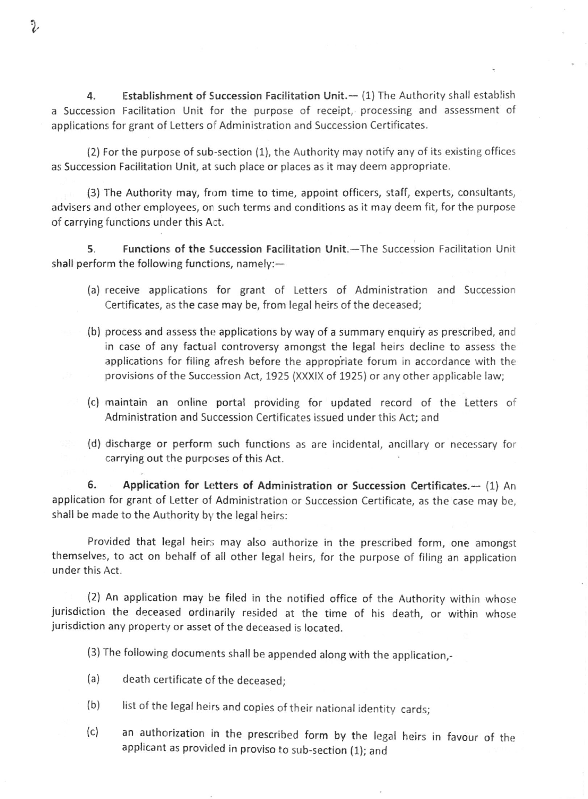4. Establishment of Succession Facilitation Unit. -- (1) The Authority shall establish a Succession Facilitation Unit for the purpose of receipt, processing and assessment of applications for grant of Letters of Administration and Succession Certificates.

 $(2)$  For the purpose of sub-section  $(1)$ , the Authority may notify any of its existing offices as Succession Facilitation Unit, at such place or places as it may deem appropriate.

(3) The Authority may, from time to time, appoint officers, staff, experts, consultants, advisers and other employees, or such terms and conditions as it may deem fit, for the purpose of carrying functions under this Act.

5. Functions of the Succession Facilitation Unit.-The Succession Facilitation Unit shall perform the following functions, namely: $-$ 

- (a) receive applications for grant of Letters of Administration and Succession Certificates, as the case may be, from legal heirs of the deceased;
- (b) process and assess the applications by way of a summary enquiry as prescribed, and in case of any factual controversy amongst the legal heirs decline to assess the applications for filing afresh before the appropriate forum in accordance with the provisions of the Succession Act, 1925 (XXXIX of 1925) or any other applicable law;
- (c) maintain an online portal providing for updated record of the Letters of Administration and Succession Certificates issued under this Act; and
- (d) discharge or perform such functions as are incidental, ancillary or necessary for carrying out the purposes of this Act.

6. Application for Letters of Administration or Succession Certificates.-- (1) An application for grant of Letter of Administration or Succession Certificate, as the case may be, shall be made to the Authority by the legal heirs:

Provided that legal heirs may also authorize in the prescribed form, one amongst themselves, to act on behalf of all other legal heirs, for the purpose of filing an application under this Act.

(2) An application may he filed in the notified office of the Authority within whose jurisdiction the deceased ordinarily resided at the time of his death, or within whose jurisdiction any property or asset of the deceased is located.

(3) The following documents shall be appended along with the application,\_

- (a) death certificate of the deceased;
- (b) list of the legal heirs and copies of their national identity cards;
- (c) an authorization in the prescribed form by the legal heirs in favour of the applicant as provided in proviso to sub-section (1); and